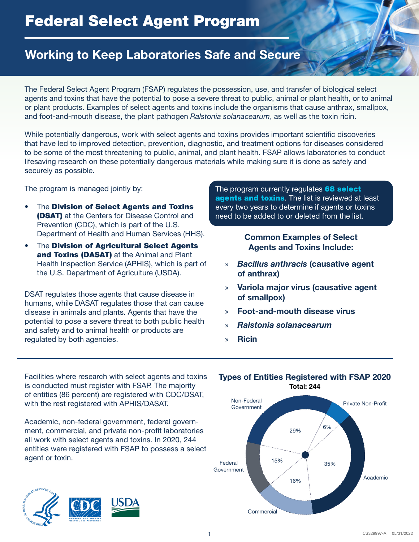# Federal Select Agent Program

### Working to Keep Laboratories Safe and Secure

The Federal Select Agent Program (FSAP) regulates the possession, use, and transfer of biological select agents and toxins that have the potential to pose a severe threat to public, animal or plant health, or to animal or plant products. Examples of select agents and toxins include the organisms that cause anthrax, smallpox, and foot-and-mouth disease, the plant pathogen *Ralstonia solanacearum*, as well as the toxin ricin.

While potentially dangerous, work with select agents and toxins provides important scientific discoveries that have led to improved detection, prevention, diagnostic, and treatment options for diseases considered to be some of the most threatening to public, animal, and plant health. FSAP allows laboratories to conduct lifesaving research on these potentially dangerous materials while making sure it is done as safely and securely as possible.

The program is managed jointly by:

- The Division of Select Agents and Toxins (DSAT) at the Centers for Disease Control and Prevention (CDC), which is part of the U.S. Department of Health and Human Services (HHS).
- The Division of Agricultural Select Agents and Toxins (DASAT) at the Animal and Plant Health Inspection Service (APHIS), which is part of the U.S. Department of Agriculture (USDA).

DSAT regulates those agents that cause disease in humans, while DASAT regulates those that can cause disease in animals and plants. Agents that have the potential to pose a severe threat to both public health and safety and to animal health or products are regulated by both agencies.

The program currently regulates 68 select agents and toxins. The list is reviewed at least every two years to determine if agents or toxins need to be added to or deleted from the list.

> Common Examples of Select Agents and Toxins Include:

- » *Bacillus anthracis* (causative agent of anthrax)
- » Variola major virus (causative agent of smallpox)
- » Foot-and-mouth disease virus
- » *Ralstonia solanacearum*
- » Ricin

Facilities where research with select agents and toxins is conducted must register with FSAP. The majority of entities (86 percent) are registered with CDC/DSAT, with the rest registered with APHIS/DASAT.

Academic, non-federal government, federal government, commercial, and private non-profit laboratories all work with select agents and toxins. In 2020, 244 entities were registered with FSAP to possess a select agent or toxin.





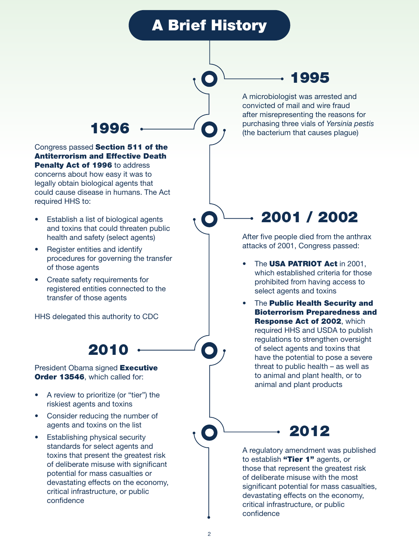# A Brief History

### 1995

A microbiologist was arrested and convicted of mail and wire fraud after misrepresenting the reasons for 1996  $\leftarrow$  **(a)** purchasing three vials of *Yersinia pestis* (the bacterium that causes plaque)

### Congress passed Section 511 of the Antiterrorism and Effective Death Penalty Act of 1996 to address

concerns about how easy it was to legally obtain biological agents that could cause disease in humans. The Act required HHS to:

- Establish a list of biological agents and toxins that could threaten public health and safety (select agents)
- Register entities and identify procedures for governing the transfer of those agents
- Create safety requirements for registered entities connected to the transfer of those agents

HHS delegated this authority to CDC

## 2010

#### President Obama signed **Executive** Order 13546, which called for:

- A review to prioritize (or "tier") the riskiest agents and toxins
- Consider reducing the number of agents and toxins on the list
- Establishing physical security standards for select agents and toxins that present the greatest risk of deliberate misuse with significant potential for mass casualties or devastating effects on the economy, critical infrastructure, or public confidence

# 2001 / 2002

After five people died from the anthrax attacks of 2001, Congress passed:

- The USA PATRIOT Act in 2001, which established criteria for those prohibited from having access to select agents and toxins
- The Public Health Security and Bioterrorism Preparedness and Response Act of 2002, which required HHS and USDA to publish regulations to strengthen oversight of select agents and toxins that have the potential to pose a severe threat to public health – as well as to animal and plant health, or to animal and plant products

# 2012

A regulatory amendment was published to establish "Tier 1" agents, or those that represent the greatest risk of deliberate misuse with the most significant potential for mass casualties. devastating effects on the economy, critical infrastructure, or public confidence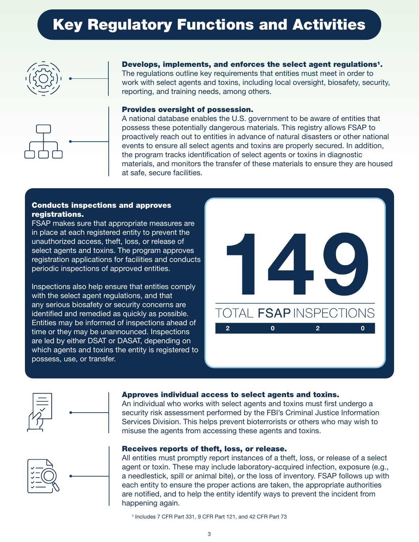# Key Regulatory Functions and Activities





Develops, implements, and enforces the select agent regulations<sup>1</sup>. The regulations outline key requirements that entities must meet in order to work with select agents and toxins, including local oversight, biosafety, security, reporting, and training needs, among others.

#### Provides oversight of possession.

A national database enables the U.S. government to be aware of entities that possess these potentially dangerous materials. This registry allows FSAP to proactively reach out to entities in advance of natural disasters or other national events to ensure all select agents and toxins are properly secured. In addition, the program tracks identification of select agents or toxins in diagnostic materials, and monitors the transfer of these materials to ensure they are housed at safe, secure facilities.

### Conducts inspections and approves registrations.

FSAP makes sure that appropriate measures are in place at each registered entity to prevent the unauthorized access, theft, loss, or release of select agents and toxins. The program approves registration applications for facilities and conducts periodic inspections of approved entities.

Inspections also help ensure that entities comply with the select agent regulations, and that any serious biosafety or security concerns are identified and remedied as quickly as possible. Entities may be informed of inspections ahead of time or they may be unannounced. Inspections are led by either DSAT or DASAT, depending on which agents and toxins the entity is registered to possess, use, or transfer.





#### Approves individual access to select agents and toxins.

An individual who works with select agents and toxins must first undergo a security risk assessment performed by the FBI's Criminal Justice Information Services Division. This helps prevent bioterrorists or others who may wish to misuse the agents from accessing these agents and toxins.



#### Receives reports of theft, loss, or release.

All entities must promptly report instances of a theft, loss, or release of a select agent or toxin. These may include laboratory-acquired infection, exposure (e.g., a needlestick, spill or animal bite), or the loss of inventory. FSAP follows up with each entity to ensure the proper actions are taken, the appropriate authorities are notified, and to help the entity identify ways to prevent the incident from happening again.

<sup>&</sup>lt;sup>1</sup> Includes 7 CFR Part 331, 9 CFR Part 121, and 42 CFR Part 73